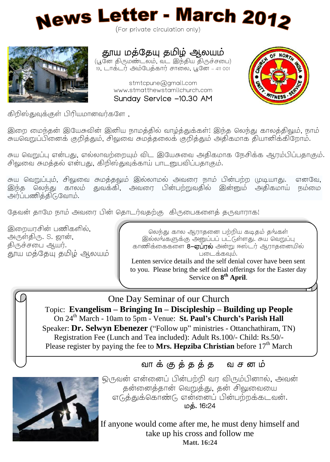

(For private circulation only)



# தூய மத்தேயு தமிழ் ஆலயம்

(பூனே திருமண்டலம், வட இந்திய திருச்சபை) .<br>19, டாக்டர் அம்பேத்கார் சாலை, பூனே – 411 001

> stmtcpune@gmail.com www.stmatthewstamilchurch.com Sunday Service -10.30 AM



கிறிஸ்துவுக்குள் பிரியமானவர்களே.

இறை மைந்தன் இயேசுவின் இனிய நாமத்தில் வாழ்த்துக்கள்! இந்த லெந்து காலத்திலும், நாம் .<br>சுயவெறுப்பினைக் குறித்தும், சிவுவை சுமத்தலைக் குறித்தும் அதிகமாக தியானிக்கிறோம்.

சுய வெறுப்ப என்பது. எல்லாவற்றையம் விட இயேசுவை அகிகமாக நேசிக்க ஆரம்பிப்பதாகும். சிலுவை சுமத்தல் என்பது. கிறிஸ்துவக்காய் பாடனுபவிப்பதாகும்.

சுய வெறுப்பும், சிலுவை சுமத்தலும் இல்லாமல் அவரை நாம் பின்பற்ற (மடியாது. எனவே, இந்த லெந்து காலம் துவக்கி, அவரை பின்பற்றுவதில் இன்னும் அதிகமாய் நம்மை அர்ப்பணித்திடுவோம்.

தேவன் தாமே நாம் அவரை பின் தொடர்வதற்கு கிருபைகளைத் தருவாராக!

இறையாசின் பணிகளில், அருள்திரு. S. ஜான், திருச்சபை ஆயர். .<br>காய மக்கேய கமிழ் ஆலயம்

லெந்து கால ஆராதனை பற்றிய கடிதம் தங்கள் .<br>இல்லங்களுக்கு அனுப்பப் பட்டுள்ளது. சுய வெறுப்பு காணிக்கைகளை 8-**எப்ரல்** அன்று ஈஸ்டர் ஆராதனையில் படைக்கவம்.

to you. Please bring the self denial offerings for the Easter day Lenten service details and the self denial cover have been sent Service on **8 th April**.

J.

E One Day Seminar of our Church

 Topic: **Evangelism – Bringing In – Discipleship – Building up People** On 24th March - 10am to 5pm - Venue: **St. Paul's Church's Parish Hall** Speaker: **Dr. Selwyn Ebenezer** ("Follow up" ministries - Ottanchathiram, TN) Registration Fee (Lunch and Tea included): Adult Rs.100/- Child: Rs.50/- Please register by paying the fee to Mrs. Hepziba Christian before 17<sup>th</sup> March

#### f வாக்குத்தத்த வசனம்



ஒருவன் என்னைப் பின்பற்றி வர விரும்பினால், அவன் தன்னைத்தான் வெறுத்து, தன் சிவுவையை எடுத்துக்கொண்டு என்னைப் பின்பற்றக்கடவன். . 16:24

If anyone would come after me, he must deny himself and take up his cross and follow me **Matt. 16:24**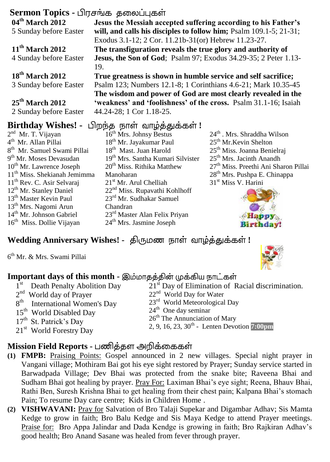### **Sermon Topics -**

**04th March 2012** 5 Sunday before Easter

**11th March 2012** 4 Sunday before Easter

**18th March 2012** 3 Sunday before Easter

#### **25th March 2012** 2 Sunday before Easter

# **Birthday Wishes! -** பிறந்த நாள் வாழ்த்துக்கள்!

2<sup>nd</sup> Mr. T. Vijayan 4<sup>th</sup> Mr. Allan Pillai th Mr. Samuel Swami Pillai 9<sup>th</sup> Mr. Moses Devasudan  $10^{th}$  Mr. Lawrence Joseph th Miss. Shekianah Jemimma th Rev. C. Asir Selvaraj th Mr. Stanley Daniel th Master Kevin Paul th Mrs. Nagomi Arun th Mr. Johnson Gabriel th Miss. Dollie Vijayan

16<sup>th</sup> Mrs. Johnsy Bestus 18<sup>th</sup> Mr. Jayakumar Paul 18<sup>th</sup> Mast. Juan Harold 19th Mrs. Santha Kumari Silvister 20<sup>th</sup> Miss. Rithika Matthew Manoharan 21<sup>st</sup> Mr. Arul Chelliah 22nd Miss. Rupavathi Kohlhoff 23rd Mr. Sudhakar Samuel Chandran 23rd Master Alan Felix Priyan 24<sup>th</sup> Mrs. Jasmine Joseph

 $24<sup>th</sup>$ . Mrs. Shraddha Wilson 25<sup>th</sup> Mr.Kevin Shelton 25<sup>th</sup> Miss. Joanna Benielrai 25<sup>th</sup> Mrs. Jacinth Anandh 27<sup>th</sup> Miss. Preethi Ani Sharon Pillai 28th Mrs. Pushpa E. Chinappa 31<sup>st</sup> Miss V. Harini



# $W$ edding Anniversary Wishes! - திருமண நாள் வாழ்த்துக்கள்!

6 th Mr. & Mrs. Swami Pillai



### **Important days of this month -**

# **Mission Field Reports -**

- **(1) FMPB:** Praising Points: Gospel announced in 2 new villages. Special night prayer in Vangani village; Mothiram Bai got his eye sight restored by Prayer; Sunday service started in Barwadpada Village; Dev Bhai was protected from the snake bite; Raveena Bhai and Sudham Bhai got healing by prayer. Pray For: Laximan Bhai's eye sight; Reena, Bhauv Bhai, Rathi Ben, Suresh Krishna Bhai to get healing from their chest pain; Kalpana Bhai's stomach Pain; To resume Day care centre; Kids in Children Home .
- **(2) VISHWAVANI:** Pray for Salvation of Bro Talaji Supekar and Digambar Adhav; Sis Mamta Kedge to grow in faith; Bro Balu Kedge and Sis Maya Kedge to attend Prayer meetings. Praise for: Bro Appa Jalindar and Dada Kendge is growing in faith; Bro Rajkiran Adhav's good health; Bro Anand Sasane was healed from fever through prayer.

**Jesus the Messiah accepted suffering according to his Father's will, and calls his disciples to follow him;** Psalm 109.1-5; 21-31; Exodus 3.1-12; 2 Cor. 11.21b-31(or) Hebrew 11.23-27.

**The transfiguration reveals the true glory and authority of Jesus, the Son of God**; Psalm 97; Exodus 34.29-35; 2 Peter 1.13- 19.

**True greatness is shown in humble service and self sacrifice;**  Psalm 123; Numbers 12.1-8; 1 Corinthians 4.6-21; Mark 10.35-45 **The wisdom and power of God are most clearly revealed in the 'weakness' and 'foolishness' of the cross.** Psalm 31.1-16; Isaiah 44.24-28; 1 Cor 1.18-25.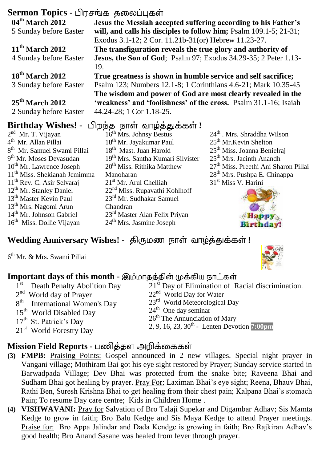### **Sermon Topics - பிரசங்க தலைப்புகள் Jesus the Messiah accepted suffering according to his Father's**

**04th March 2012** 5 Sunday before Easter

**11th March 2012**

4 Sunday before Easter

### **18th March 2012** 3 Sunday before Easter

#### **25th March 2012** 2 Sunday before Easter

# **Birthday Wishes! -** பிறந்த நாள் வாழ்த்துக்கள்!

19.

- 2<sup>nd</sup> Mr. T. Vijayan 4<sup>th</sup> Mr. Allan Pillai 8 th Mr. Samuel Swami Pillai 9<sup>th</sup> Mr. Moses Devasudan  $10^{th}$  Mr. Lawrence Joseph 11th Miss. Shekianah Jemimma 11th Rev. C. Asir Selvaraj 12th Mr. Stanley Daniel 13th Master Kevin Paul 13th Mrs. Nagomi Arun 14th Mr. Johnson Gabriel 16th Miss. Dollie Vijayan
- 16<sup>th</sup> Mrs. Johnsy Bestus 18<sup>th</sup> Mr. Jayakumar Paul 18<sup>th</sup> Mast. Juan Harold 19th Mrs. Santha Kumari Silvister 20<sup>th</sup> Miss. Rithika Matthew Manoharan 21<sup>st</sup> Mr. Arul Chelliah 22nd Miss. Rupavathi Kohlhoff 23rd Mr. Sudhakar Samuel Chandran 23rd Master Alan Felix Priyan 24<sup>th</sup> Mrs. Jasmine Joseph

**will, and calls his disciples to follow him;** Psalm 109.1-5; 21-31;

**True greatness is shown in humble service and self sacrifice;**  Psalm 123; Numbers 12.1-8; 1 Corinthians 4.6-21; Mark 10.35-45 **The wisdom and power of God are most clearly revealed in the 'weakness' and 'foolishness' of the cross.** Psalm 31.1-16; Isaiah

Exodus 3.1-12; 2 Cor. 11.21b-31(or) Hebrew 11.23-27. **The transfiguration reveals the true glory and authority of Jesus, the Son of God**; Psalm 97; Exodus 34.29-35; 2 Peter 1.13-

> $24<sup>th</sup>$ . Mrs. Shraddha Wilson 25<sup>th</sup> Mr.Kevin Shelton 25<sup>th</sup> Miss. Joanna Benielrai 25<sup>th</sup> Mrs. Jacinth Anandh 27<sup>th</sup> Miss. Preethi Ani Sharon Pillai 28th Mrs. Pushpa E. Chinappa 31<sup>st</sup> Miss V. Harini



# $W$ edding Anniversary Wishes! - திருமண நாள் வாழ்த்துக்கள்!

44.24-28; 1 Cor 1.18-25.

6 th Mr. & Mrs. Swami Pillai



# **Important days of this month -**

| 1 <sup>st</sup> Death Penalty Abolition Day | 21 <sup>st</sup> Day of Elimination of Racial discrimination. |
|---------------------------------------------|---------------------------------------------------------------|
| $2nd$ World day of Prayer                   | $22nd$ World Day for Water                                    |
| 8 <sup>th</sup> International Women's Day   | 23 <sup>rd</sup> World Meteorological Day                     |
| 15 <sup>th</sup> World Disabled Day         | $24th$ One day seminar                                        |
| $17th$ St. Patrick's Day                    | $26th$ The Annunciation of Mary                               |
| 21 <sup>st</sup> World Forestry Day         | 2, 9, 16, 23, $30^{\text{th}}$ - Lenten Devotion 7:00pm       |

# **Mission Field Reports -**

- **(3) FMPB:** Praising Points: Gospel announced in 2 new villages. Special night prayer in Vangani village; Mothiram Bai got his eye sight restored by Prayer; Sunday service started in Barwadpada Village; Dev Bhai was protected from the snake bite; Raveena Bhai and Sudham Bhai got healing by prayer. Pray For: Laximan Bhai's eye sight; Reena, Bhauv Bhai, Rathi Ben, Suresh Krishna Bhai to get healing from their chest pain; Kalpana Bhai's stomach Pain; To resume Day care centre; Kids in Children Home .
- **(4) VISHWAVANI:** Pray for Salvation of Bro Talaji Supekar and Digambar Adhav; Sis Mamta Kedge to grow in faith; Bro Balu Kedge and Sis Maya Kedge to attend Prayer meetings. Praise for: Bro Appa Jalindar and Dada Kendge is growing in faith; Bro Rajkiran Adhav's good health; Bro Anand Sasane was healed from fever through prayer.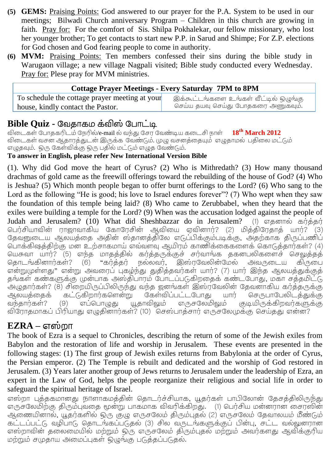- **(5) GEMS:** Praising Points: God answered to our prayer for the P.A. System to be used in our meetings; Bilwadi Church anniversary Program – Children in this church are growing in faith. Pray for: For the comfort of Sis. Shilpa Pokhalekar, our fellow missionary, who lost her younger brother; To get contacts to start new P.P. in Sarud and Shimpe; For Z.P. elections for God chosen and God fearing people to come in authority.
- **(6) MVM:** Praising Points: Ten members confessed their sins during the bible study in Warugaon village; a new village Nagpali visited; Bible study conducted every Wednesday. Pray for: Plese pray for MVM ministries.

| <b>Cottage Prayer Meetings - Every Saturday 7PM to 8PM</b> |                                       |
|------------------------------------------------------------|---------------------------------------|
| To schedule the cottage prayer meeting at your             | இக்கூட்டங்களை உங்கள் வீட்டில் ஒழுங்கு |
| house, kindly contact the Pastor.                          | செய்ய தயவு செய்து போதகரை அணுகவும்.    |

### **Bible Quiz -**

 /e-mail **18th March 2012** விடைகள் வசன ஆகாரக்குடன் இருக்க வேண்டும். முழு வசனக்தையும் எழுகாமல் பகிலை மட்டும் எழுதவும். ஒரு கேள்விக்கு ஒரு பதில் மட்டும் எழுத வேண்டும்.

#### **To answer in English, please refer New International Version Bible**

(1). Why did God move the heart of Cyrus? (2) Who is Mithredath? (3) How many thousand drachmas of gold came as the freewill offerings toward the rebuilding of the house of God? (4) Who is Jeshua? (5) Which month people began to offer burnt offerings to the Lord? (6) Who sang to the Lord as the following "He is good; his love to Israel endures forever"? (7) Who wept when they saw the foundation of this temple being laid? (8) Who came to Zerubbabel, when they heard that the exiles were building a temple for the Lord? (9) When was the accusation lodged against the people of Judah and Jerusalem? (10) What did Sheshbazzar do in Jerusalem? (1) எதனால் கர்த்தர் பெர்சியாவின் ராஜாவாகிய கோரேசின் ஆவியை ஏவினார்? (2) மிக்கிரேகாக் யார்? (3) தேவனுடைய ஆலயத்தை அதின் ஸ்தானத்திலே எடுப்பிக்கும்படிக்கு, அதற்காக திருப்பணிப் பொக்கிஷத்திற்கு மன உற்சாகமாய் எவ்வளவு ஆயிரம் காணிக்கைகளைக் கொடுத்தார்கள்? (4) யெசுவா யார்? (5) எந்த மாதத்தில் கர்த்தருக்குச் சர்வாங்க தகனபலிகளைச் செலுத்தத் கொடங்கினார்கள்?  $(6)$ "கர்க்கர் நல்லவர். இஸ்ரவேலின்மேல் அவருடைய கிருடை என்றுமுள்ளது" என்று அவரைப் புகழ்ந்து துதித்தவர்கள் யார்? (7) யார் இந்த ஆலயத்துக்குத் தங்கள் கண்களுக்கு முன்பாக அஸ்திபாரம் போடப்படுகிறதைக் கண்டபோது, மகா சத்தமிட்டு அழுதார்கள்? (8) சிறையிருப்பிலிருந்து வந்த ஜனங்கள் இஸ்ரவேலின் தேவனாகிய கர்த்தருக்கு<br>ஆலயக்கைக் கட்டுகிறார்களென்று கேள்விப்பட்டபோது யார் செருபாபேலிடக்துக்கு ஆலயத்தைக் செருபாபேலிடத்துக்கு வந்கார்கள்?  $(9)$ எப்பொடிகு யூதாவிலும் எருசலேமிலும் குடியிருக்கிறவர்களுக்கு விரோதமாகப் பிரியாது எழுதினார்கள்? (10) செஸ்பாத்சார் எருசலேமுக்கு செய்தது என்ன?

# **EZRA –**

The book of Ezra is a sequel to Chronicles, describing the return of some of the Jewish exiles from Babylon and the restoration of life and worship in Jerusalem. These events are presented in the following stages: (1) The first group of Jewish exiles returns from Babylonia at the order of Cyrus, the Persian emperor. (2) The Temple is rebuilt and dedicated and the worship of God restored in Jerusalem. (3) Years later another group of Jews returns to Jerusalem under the leadership of Ezra, an expert in the Law of God, helps the people reorganize their religious and social life in order to safeguard the spiritual heritage of Israel.

எஸ்றா புத்தகமானது நாளாகமத்தின் தொடர்ச்சியாக, யூதர்கள் பாபிலோன் தேசத்திலிருந்து எருசலேமிற்கு திரும்புவதை மூன்று பாகமாக விவரிக்கிறது. (1) பெர்சிய மன்னரான சைரஸின் ஆணையினால், யூதர்களில் ஒரு குழு எருசலேம் திரும்புதல் (2) எருசலேம் தேவாலயம் மீண்டும் கட்டப்பட்டு, வழிபாடு, தொடங்கப்படுதல் (3) சில வருடங்களுக்குப் பின்பு, சட்ட வல்லுனரான எஸ்றாவின் தலைமையில் மற்றும் ஒரு எருசலேம் திரும்புதல் மற்றும் அவர்களது ஆவிக்குரிய .<br>மற்றும் சமுகாய அமைப்பகள் லெற்கு படுக்கப்படுகல்.